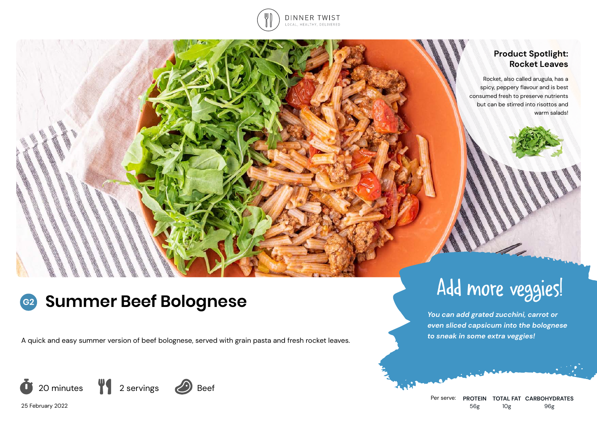

## **Product Spotlight: Rocket Leaves**

Rocket, also called arugula, has a spicy, peppery flavour and is best consumed fresh to preserve nutrients but can be stirred into risottos and warm salads!

### **Summer Beef Bolognese G2**

A quick and easy summer version of beef bolognese, served with grain pasta and fresh rocket leaves.



25 February 2022



*You can add grated zucchini, carrot or even sliced capsicum into the bolognese to sneak in some extra veggies!*